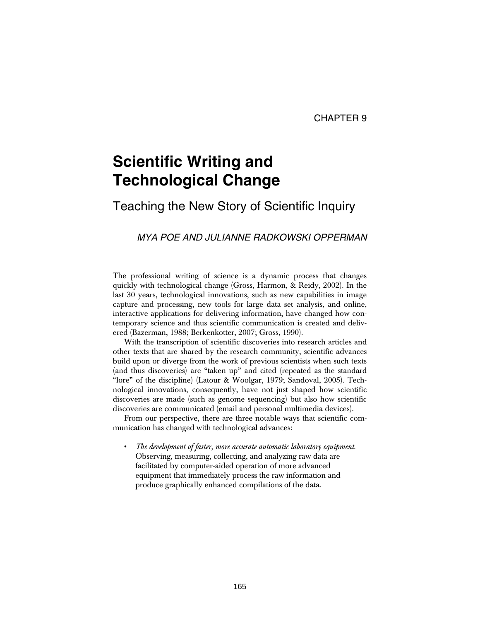# **Scientific Writing and Technological Change**

# Teaching the New Story of Scientific Inquiry

# *MYA POE AND JULIANNE RADKOWSKI OPPERMAN*

The professional writing of science is a dynamic process that changes quickly with technological change (Gross, Harmon, & Reidy, 2002). In the last 30 years, technological innovations, such as new capabilities in image capture and processing, new tools for large data set analysis, and online, interactive applications for delivering information, have changed how contemporary science and thus scientific communication is created and delivered (Bazerman, 1988; Berkenkotter, 2007; Gross, 1990).

With the transcription of scientific discoveries into research articles and other texts that are shared by the research community, scientific advances build upon or diverge from the work of previous scientists when such texts (and thus discoveries) are "taken up" and cited (repeated as the standard "lore" of the discipline) (Latour & Woolgar, 1979; Sandoval, 2005). Technological innovations, consequently, have not just shaped how scientific discoveries are made (such as genome sequencing) but also how scientific discoveries are communicated (email and personal multimedia devices).

From our perspective, there are three notable ways that scientific communication has changed with technological advances:

• *The development of faster, more accurate automatic laboratory equipment*. Observing, measuring, collecting, and analyzing raw data are facilitated by computer-aided operation of more advanced equipment that immediately process the raw information and produce graphically enhanced compilations of the data.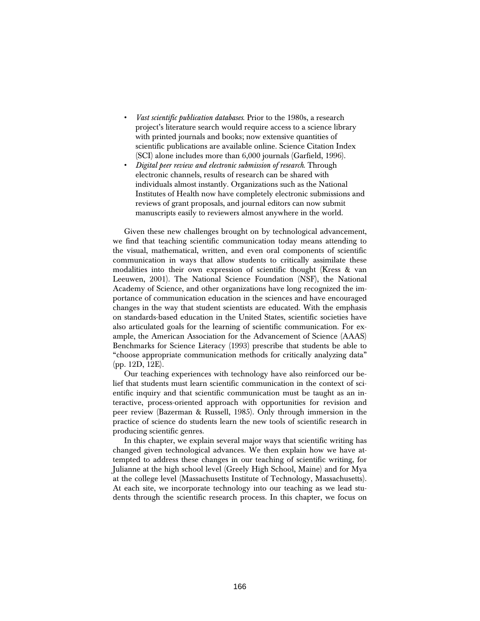- *Vast scientific publication databases*. Prior to the 1980s, a research project's literature search would require access to a science library with printed journals and books; now extensive quantities of scientific publications are available online. Science Citation Index (SCI) alone includes more than 6,000 journals (Garfield, 1996).
- *Digital peer review and electronic submission of research*. Through electronic channels, results of research can be shared with individuals almost instantly. Organizations such as the National Institutes of Health now have completely electronic submissions and reviews of grant proposals, and journal editors can now submit manuscripts easily to reviewers almost anywhere in the world.

Given these new challenges brought on by technological advancement, we find that teaching scientific communication today means attending to the visual, mathematical, written, and even oral components of scientific communication in ways that allow students to critically assimilate these modalities into their own expression of scientific thought (Kress & van Leeuwen, 2001). The National Science Foundation (NSF), the National Academy of Science, and other organizations have long recognized the importance of communication education in the sciences and have encouraged changes in the way that student scientists are educated. With the emphasis on standards-based education in the United States, scientific societies have also articulated goals for the learning of scientific communication. For example, the American Association for the Advancement of Science (AAAS) Benchmarks for Science Literacy (1993) prescribe that students be able to "choose appropriate communication methods for critically analyzing data" (pp. 12D, 12E).

Our teaching experiences with technology have also reinforced our belief that students must learn scientific communication in the context of scientific inquiry and that scientific communication must be taught as an interactive, process-oriented approach with opportunities for revision and peer review (Bazerman & Russell, 1985). Only through immersion in the practice of science do students learn the new tools of scientific research in producing scientific genres.

In this chapter, we explain several major ways that scientific writing has changed given technological advances. We then explain how we have attempted to address these changes in our teaching of scientific writing, for Julianne at the high school level (Greely High School, Maine) and for Mya at the college level (Massachusetts Institute of Technology, Massachusetts). At each site, we incorporate technology into our teaching as we lead students through the scientific research process. In this chapter, we focus on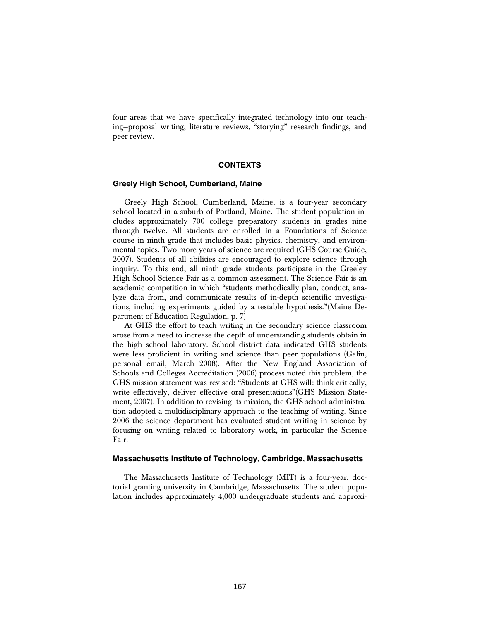four areas that we have specifically integrated technology into our teaching—proposal writing, literature reviews, "storying" research findings, and peer review.

# **CONTEXTS**

# **Greely High School, Cumberland, Maine**

Greely High School, Cumberland, Maine, is a four-year secondary school located in a suburb of Portland, Maine. The student population includes approximately 700 college preparatory students in grades nine through twelve. All students are enrolled in a Foundations of Science course in ninth grade that includes basic physics, chemistry, and environmental topics. Two more years of science are required (GHS Course Guide, 2007). Students of all abilities are encouraged to explore science through inquiry. To this end, all ninth grade students participate in the Greeley High School Science Fair as a common assessment. The Science Fair is an academic competition in which "students methodically plan, conduct, analyze data from, and communicate results of in-depth scientific investigations, including experiments guided by a testable hypothesis."(Maine Department of Education Regulation, p. 7)

At GHS the effort to teach writing in the secondary science classroom arose from a need to increase the depth of understanding students obtain in the high school laboratory. School district data indicated GHS students were less proficient in writing and science than peer populations (Galin, personal email, March 2008). After the New England Association of Schools and Colleges Accreditation (2006) process noted this problem, the GHS mission statement was revised: "Students at GHS will: think critically, write effectively, deliver effective oral presentations"(GHS Mission Statement, 2007). In addition to revising its mission, the GHS school administration adopted a multidisciplinary approach to the teaching of writing. Since 2006 the science department has evaluated student writing in science by focusing on writing related to laboratory work, in particular the Science Fair.

#### **Massachusetts Institute of Technology, Cambridge, Massachusetts**

The Massachusetts Institute of Technology (MIT) is a four-year, doctorial granting university in Cambridge, Massachusetts. The student population includes approximately 4,000 undergraduate students and approxi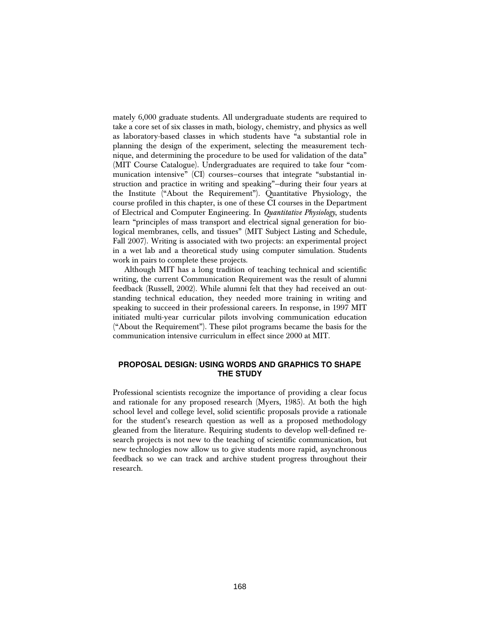mately 6,000 graduate students. All undergraduate students are required to take a core set of six classes in math, biology, chemistry, and physics as well as laboratory-based classes in which students have "a substantial role in planning the design of the experiment, selecting the measurement technique, and determining the procedure to be used for validation of the data" (MIT Course Catalogue). Undergraduates are required to take four "communication intensive" (CI) courses—courses that integrate "substantial instruction and practice in writing and speaking"—during their four years at the Institute ("About the Requirement"). Quantitative Physiology, the course profiled in this chapter, is one of these CI courses in the Department of Electrical and Computer Engineering. In *Quantitative Physiology*, students learn "principles of mass transport and electrical signal generation for biological membranes, cells, and tissues" (MIT Subject Listing and Schedule, Fall 2007). Writing is associated with two projects: an experimental project in a wet lab and a theoretical study using computer simulation. Students work in pairs to complete these projects.

Although MIT has a long tradition of teaching technical and scientific writing, the current Communication Requirement was the result of alumni feedback (Russell, 2002). While alumni felt that they had received an outstanding technical education, they needed more training in writing and speaking to succeed in their professional careers. In response, in 1997 MIT initiated multi-year curricular pilots involving communication education ("About the Requirement"). These pilot programs became the basis for the communication intensive curriculum in effect since 2000 at MIT.

# **PROPOSAL DESIGN: USING WORDS AND GRAPHICS TO SHAPE THE STUDY**

Professional scientists recognize the importance of providing a clear focus and rationale for any proposed research (Myers, 1985). At both the high school level and college level, solid scientific proposals provide a rationale for the student's research question as well as a proposed methodology gleaned from the literature. Requiring students to develop well-defined research projects is not new to the teaching of scientific communication, but new technologies now allow us to give students more rapid, asynchronous feedback so we can track and archive student progress throughout their research.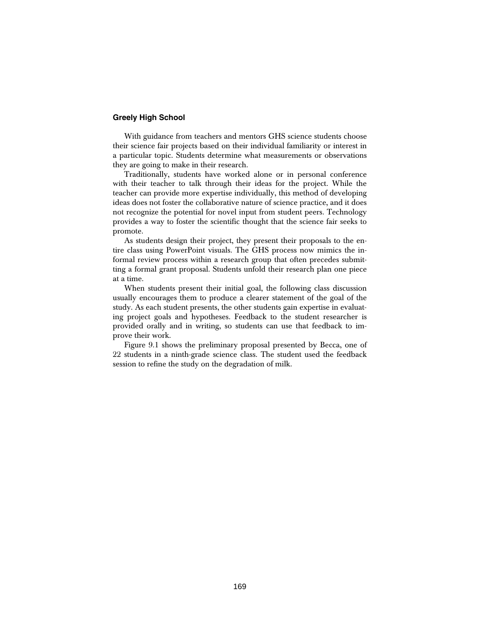# **Greely High School**

With guidance from teachers and mentors GHS science students choose their science fair projects based on their individual familiarity or interest in a particular topic. Students determine what measurements or observations they are going to make in their research.

Traditionally, students have worked alone or in personal conference with their teacher to talk through their ideas for the project. While the teacher can provide more expertise individually, this method of developing ideas does not foster the collaborative nature of science practice, and it does not recognize the potential for novel input from student peers. Technology provides a way to foster the scientific thought that the science fair seeks to promote.

As students design their project, they present their proposals to the entire class using PowerPoint visuals. The GHS process now mimics the informal review process within a research group that often precedes submitting a formal grant proposal. Students unfold their research plan one piece at a time.

When students present their initial goal, the following class discussion usually encourages them to produce a clearer statement of the goal of the study. As each student presents, the other students gain expertise in evaluating project goals and hypotheses. Feedback to the student researcher is provided orally and in writing, so students can use that feedback to improve their work.

Figure 9.1 shows the preliminary proposal presented by Becca, one of 22 students in a ninth-grade science class. The student used the feedback session to refine the study on the degradation of milk.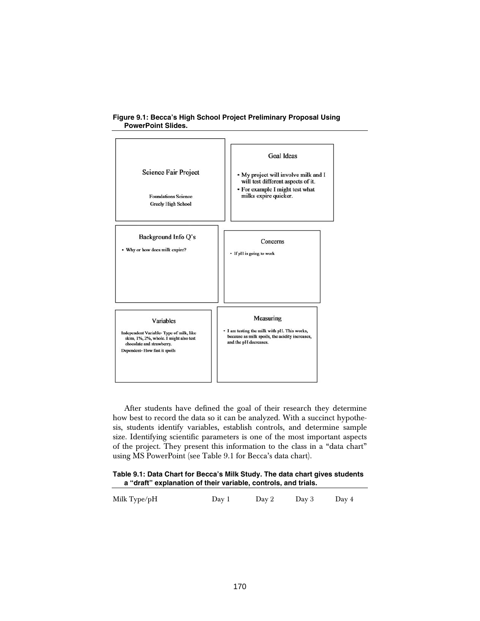

# **Figure 9.1: Becca's High School Project Preliminary Proposal Using PowerPoint Slides.**

After students have defined the goal of their research they determine how best to record the data so it can be analyzed. With a succinct hypothesis, students identify variables, establish controls, and determine sample size. Identifying scientific parameters is one of the most important aspects of the project. They present this information to the class in a "data chart" using MS PowerPoint (see Table 9.1 for Becca's data chart).

#### **Table 9.1: Data Chart for Becca's Milk Study. The data chart gives students a "draft" explanation of their variable, controls, and trials.**

| Milk Type/pH | Dav 1 | Dav 2 | Dav 3 | Day 4 |
|--------------|-------|-------|-------|-------|
|              |       |       |       |       |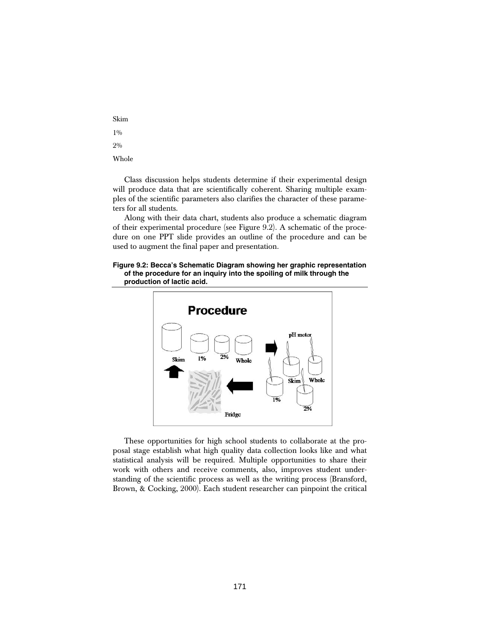Skim 1%  $2.0/0$ 

Whole

Class discussion helps students determine if their experimental design will produce data that are scientifically coherent. Sharing multiple examples of the scientific parameters also clarifies the character of these parameters for all students.

Along with their data chart, students also produce a schematic diagram of their experimental procedure (see Figure 9.2). A schematic of the procedure on one PPT slide provides an outline of the procedure and can be used to augment the final paper and presentation.

#### **Figure 9.2: Becca's Schematic Diagram showing her graphic representation of the procedure for an inquiry into the spoiling of milk through the production of lactic acid.**



These opportunities for high school students to collaborate at the proposal stage establish what high quality data collection looks like and what statistical analysis will be required. Multiple opportunities to share their work with others and receive comments, also, improves student understanding of the scientific process as well as the writing process (Bransford, Brown, & Cocking, 2000). Each student researcher can pinpoint the critical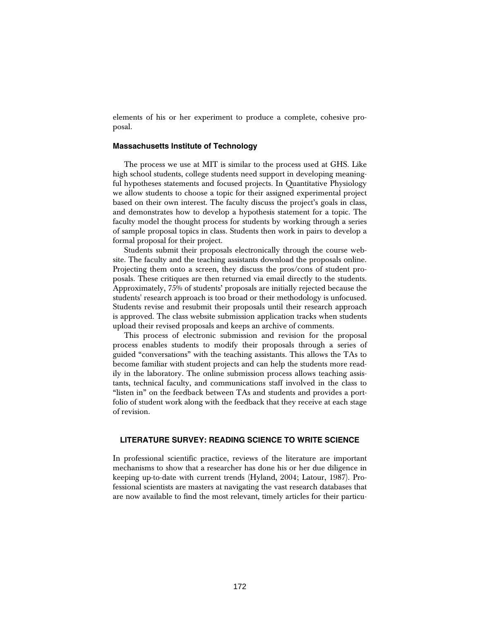elements of his or her experiment to produce a complete, cohesive proposal.

# **Massachusetts Institute of Technology**

The process we use at MIT is similar to the process used at GHS. Like high school students, college students need support in developing meaningful hypotheses statements and focused projects. In Quantitative Physiology we allow students to choose a topic for their assigned experimental project based on their own interest. The faculty discuss the project's goals in class, and demonstrates how to develop a hypothesis statement for a topic. The faculty model the thought process for students by working through a series of sample proposal topics in class. Students then work in pairs to develop a formal proposal for their project.

Students submit their proposals electronically through the course website. The faculty and the teaching assistants download the proposals online. Projecting them onto a screen, they discuss the pros/cons of student proposals. These critiques are then returned via email directly to the students. Approximately, 75% of students' proposals are initially rejected because the students' research approach is too broad or their methodology is unfocused. Students revise and resubmit their proposals until their research approach is approved. The class website submission application tracks when students upload their revised proposals and keeps an archive of comments.

This process of electronic submission and revision for the proposal process enables students to modify their proposals through a series of guided "conversations" with the teaching assistants. This allows the TAs to become familiar with student projects and can help the students more readily in the laboratory. The online submission process allows teaching assistants, technical faculty, and communications staff involved in the class to "listen in" on the feedback between TAs and students and provides a portfolio of student work along with the feedback that they receive at each stage of revision.

# **LITERATURE SURVEY: READING SCIENCE TO WRITE SCIENCE**

In professional scientific practice, reviews of the literature are important mechanisms to show that a researcher has done his or her due diligence in keeping up-to-date with current trends (Hyland, 2004; Latour, 1987). Professional scientists are masters at navigating the vast research databases that are now available to find the most relevant, timely articles for their particu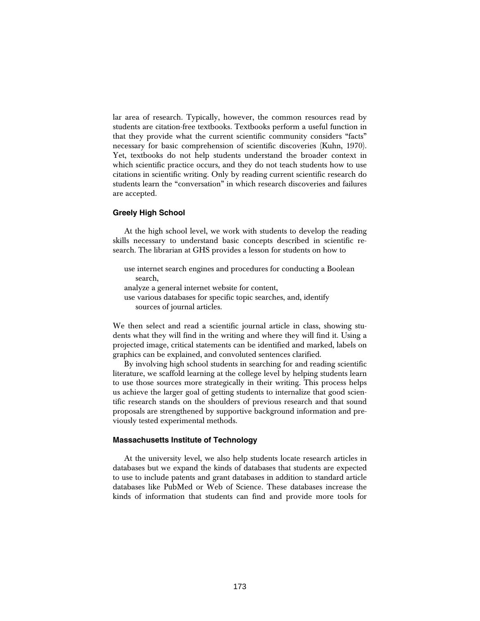lar area of research. Typically, however, the common resources read by students are citation-free textbooks. Textbooks perform a useful function in that they provide what the current scientific community considers "facts" necessary for basic comprehension of scientific discoveries (Kuhn, 1970). Yet, textbooks do not help students understand the broader context in which scientific practice occurs, and they do not teach students how to use citations in scientific writing. Only by reading current scientific research do students learn the "conversation" in which research discoveries and failures are accepted.

#### **Greely High School**

At the high school level, we work with students to develop the reading skills necessary to understand basic concepts described in scientific research. The librarian at GHS provides a lesson for students on how to

use internet search engines and procedures for conducting a Boolean search, analyze a general internet website for content, use various databases for specific topic searches, and, identify sources of journal articles.

We then select and read a scientific journal article in class, showing students what they will find in the writing and where they will find it. Using a projected image, critical statements can be identified and marked, labels on graphics can be explained, and convoluted sentences clarified.

By involving high school students in searching for and reading scientific literature, we scaffold learning at the college level by helping students learn to use those sources more strategically in their writing. This process helps us achieve the larger goal of getting students to internalize that good scientific research stands on the shoulders of previous research and that sound proposals are strengthened by supportive background information and previously tested experimental methods.

#### **Massachusetts Institute of Technology**

At the university level, we also help students locate research articles in databases but we expand the kinds of databases that students are expected to use to include patents and grant databases in addition to standard article databases like PubMed or Web of Science. These databases increase the kinds of information that students can find and provide more tools for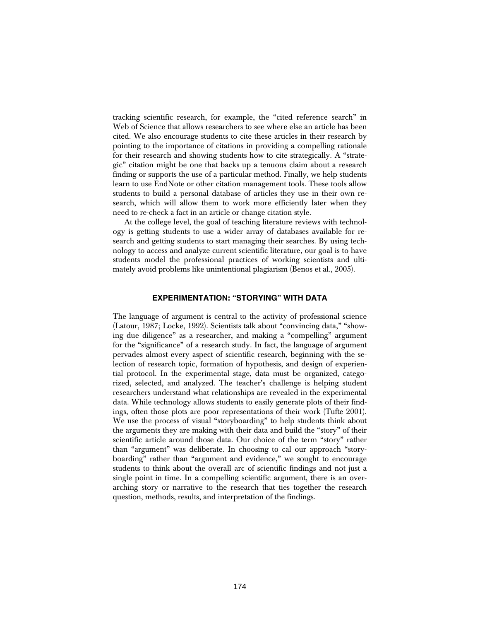tracking scientific research, for example, the "cited reference search" in Web of Science that allows researchers to see where else an article has been cited. We also encourage students to cite these articles in their research by pointing to the importance of citations in providing a compelling rationale for their research and showing students how to cite strategically. A "strategic" citation might be one that backs up a tenuous claim about a research finding or supports the use of a particular method. Finally, we help students learn to use EndNote or other citation management tools. These tools allow students to build a personal database of articles they use in their own research, which will allow them to work more efficiently later when they need to re-check a fact in an article or change citation style.

At the college level, the goal of teaching literature reviews with technology is getting students to use a wider array of databases available for research and getting students to start managing their searches. By using technology to access and analyze current scientific literature, our goal is to have students model the professional practices of working scientists and ultimately avoid problems like unintentional plagiarism (Benos et al., 2005).

### **EXPERIMENTATION: "STORYING" WITH DATA**

The language of argument is central to the activity of professional science (Latour, 1987; Locke, 1992). Scientists talk about "convincing data," "showing due diligence" as a researcher, and making a "compelling" argument for the "significance" of a research study. In fact, the language of argument pervades almost every aspect of scientific research, beginning with the selection of research topic, formation of hypothesis, and design of experiential protocol. In the experimental stage, data must be organized, categorized, selected, and analyzed. The teacher's challenge is helping student researchers understand what relationships are revealed in the experimental data. While technology allows students to easily generate plots of their findings, often those plots are poor representations of their work (Tufte 2001). We use the process of visual "storyboarding" to help students think about the arguments they are making with their data and build the "story" of their scientific article around those data. Our choice of the term "story" rather than "argument" was deliberate. In choosing to cal our approach "storyboarding" rather than "argument and evidence," we sought to encourage students to think about the overall arc of scientific findings and not just a single point in time. In a compelling scientific argument, there is an overarching story or narrative to the research that ties together the research question, methods, results, and interpretation of the findings.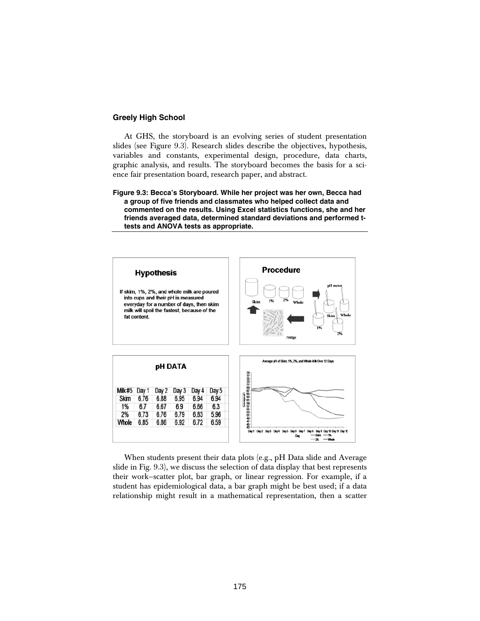# **Greely High School**

At GHS, the storyboard is an evolving series of student presentation slides (see Figure 9.3). Research slides describe the objectives, hypothesis, variables and constants, experimental design, procedure, data charts, graphic analysis, and results. The storyboard becomes the basis for a science fair presentation board, research paper, and abstract.

**Figure 9.3: Becca's Storyboard. While her project was her own, Becca had a group of five friends and classmates who helped collect data and commented on the results. Using Excel statistics functions, she and her friends averaged data, determined standard deviations and performed ttests and ANOVA tests as appropriate.** 



When students present their data plots (e.g., pH Data slide and Average slide in Fig. 9.3), we discuss the selection of data display that best represents their work—scatter plot, bar graph, or linear regression. For example, if a student has epidemiological data, a bar graph might be best used; if a data relationship might result in a mathematical representation, then a scatter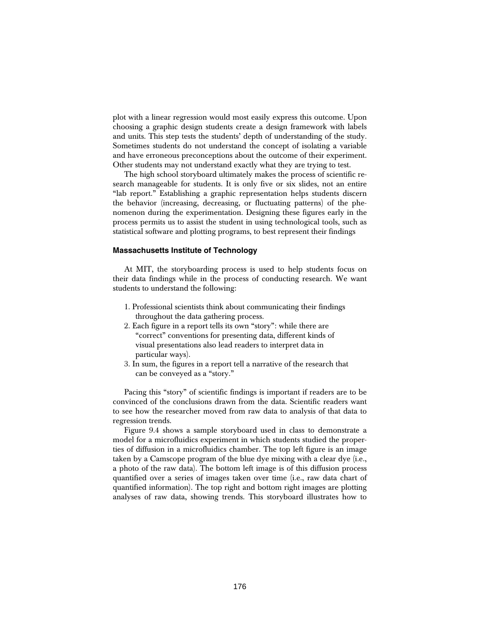plot with a linear regression would most easily express this outcome. Upon choosing a graphic design students create a design framework with labels and units. This step tests the students' depth of understanding of the study. Sometimes students do not understand the concept of isolating a variable and have erroneous preconceptions about the outcome of their experiment. Other students may not understand exactly what they are trying to test.

The high school storyboard ultimately makes the process of scientific research manageable for students. It is only five or six slides, not an entire "lab report." Establishing a graphic representation helps students discern the behavior (increasing, decreasing, or fluctuating patterns) of the phenomenon during the experimentation. Designing these figures early in the process permits us to assist the student in using technological tools, such as statistical software and plotting programs, to best represent their findings

#### **Massachusetts Institute of Technology**

At MIT, the storyboarding process is used to help students focus on their data findings while in the process of conducting research. We want students to understand the following:

- 1. Professional scientists think about communicating their findings throughout the data gathering process.
- 2. Each figure in a report tells its own "story": while there are "correct" conventions for presenting data, different kinds of visual presentations also lead readers to interpret data in particular ways).
- 3. In sum, the figures in a report tell a narrative of the research that can be conveyed as a "story."

Pacing this "story" of scientific findings is important if readers are to be convinced of the conclusions drawn from the data. Scientific readers want to see how the researcher moved from raw data to analysis of that data to regression trends.

Figure 9.4 shows a sample storyboard used in class to demonstrate a model for a microfluidics experiment in which students studied the properties of diffusion in a microfluidics chamber. The top left figure is an image taken by a Camscope program of the blue dye mixing with a clear dye (i.e., a photo of the raw data). The bottom left image is of this diffusion process quantified over a series of images taken over time (i.e., raw data chart of quantified information). The top right and bottom right images are plotting analyses of raw data, showing trends. This storyboard illustrates how to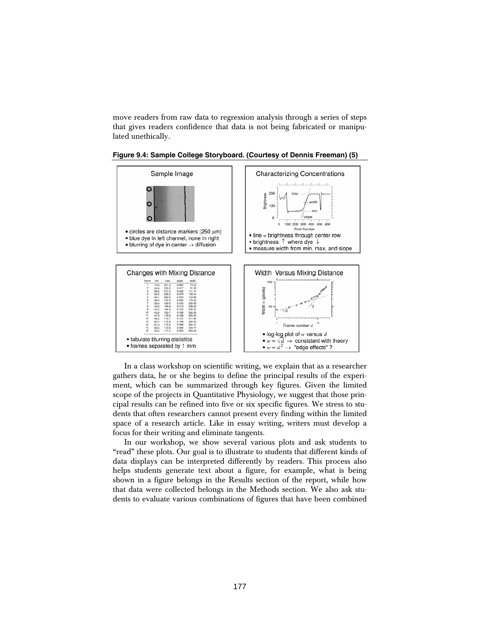move readers from raw data to regression analysis through a series of steps that gives readers confidence that data is not being fabricated or manipulated unethically.



**Figure 9.4: Sample College Storyboard. (Courtesy of Dennis Freeman) (5)** 

In a class workshop on scientific writing, we explain that as a researcher gathers data, he or she begins to define the principal results of the experiment, which can be summarized through key figures. Given the limited scope of the projects in Quantitative Physiology, we suggest that those principal results can be refined into five or six specific figures. We stress to students that often researchers cannot present every finding within the limited space of a research article. Like in essay writing, writers must develop a focus for their writing and eliminate tangents.

In our workshop, we show several various plots and ask students to "read" these plots. Our goal is to illustrate to students that different kinds of data displays can be interpreted differently by readers. This process also helps students generate text about a figure, for example, what is being shown in a figure belongs in the Results section of the report, while how that data were collected belongs in the Methods section. We also ask students to evaluate various combinations of figures that have been combined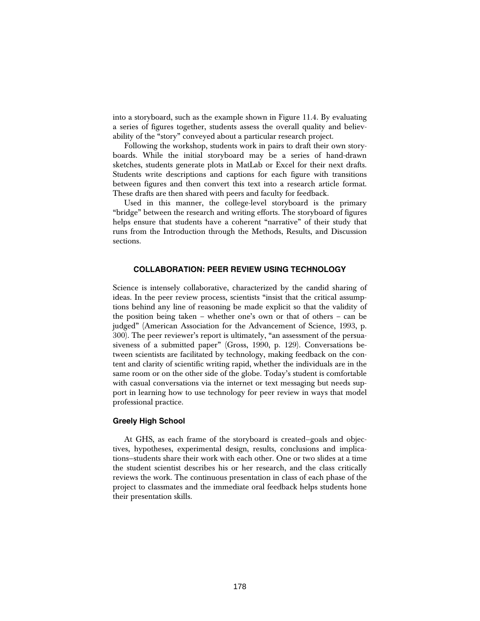into a storyboard, such as the example shown in Figure 11.4. By evaluating a series of figures together, students assess the overall quality and believability of the "story" conveyed about a particular research project.

Following the workshop, students work in pairs to draft their own storyboards. While the initial storyboard may be a series of hand-drawn sketches, students generate plots in MatLab or Excel for their next drafts. Students write descriptions and captions for each figure with transitions between figures and then convert this text into a research article format. These drafts are then shared with peers and faculty for feedback.

Used in this manner, the college-level storyboard is the primary "bridge" between the research and writing efforts. The storyboard of figures helps ensure that students have a coherent "narrative" of their study that runs from the Introduction through the Methods, Results, and Discussion sections.

# **COLLABORATION: PEER REVIEW USING TECHNOLOGY**

Science is intensely collaborative, characterized by the candid sharing of ideas. In the peer review process, scientists "insist that the critical assumptions behind any line of reasoning be made explicit so that the validity of the position being taken – whether one's own or that of others – can be judged" (American Association for the Advancement of Science, 1993, p. 300). The peer reviewer's report is ultimately, "an assessment of the persuasiveness of a submitted paper" (Gross, 1990, p. 129). Conversations between scientists are facilitated by technology, making feedback on the content and clarity of scientific writing rapid, whether the individuals are in the same room or on the other side of the globe. Today's student is comfortable with casual conversations via the internet or text messaging but needs support in learning how to use technology for peer review in ways that model professional practice.

#### **Greely High School**

At GHS, as each frame of the storyboard is created—goals and objectives, hypotheses, experimental design, results, conclusions and implications—students share their work with each other. One or two slides at a time the student scientist describes his or her research, and the class critically reviews the work. The continuous presentation in class of each phase of the project to classmates and the immediate oral feedback helps students hone their presentation skills.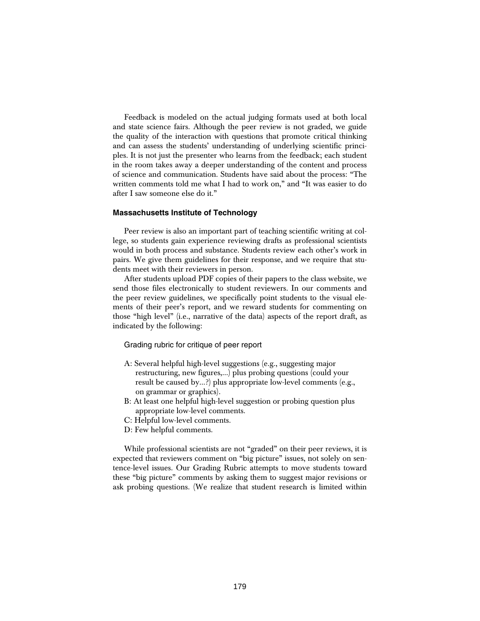Feedback is modeled on the actual judging formats used at both local and state science fairs. Although the peer review is not graded, we guide the quality of the interaction with questions that promote critical thinking and can assess the students' understanding of underlying scientific principles. It is not just the presenter who learns from the feedback; each student in the room takes away a deeper understanding of the content and process of science and communication. Students have said about the process: "The written comments told me what I had to work on," and "It was easier to do after I saw someone else do it."

#### **Massachusetts Institute of Technology**

Peer review is also an important part of teaching scientific writing at college, so students gain experience reviewing drafts as professional scientists would in both process and substance. Students review each other's work in pairs. We give them guidelines for their response, and we require that students meet with their reviewers in person.

After students upload PDF copies of their papers to the class website, we send those files electronically to student reviewers. In our comments and the peer review guidelines, we specifically point students to the visual elements of their peer's report, and we reward students for commenting on those "high level" (i.e., narrative of the data) aspects of the report draft, as indicated by the following:

Grading rubric for critique of peer report

- A: Several helpful high-level suggestions (e.g., suggesting major restructuring, new figures,...) plus probing questions (could your result be caused by...?) plus appropriate low-level comments (e.g., on grammar or graphics).
- B: At least one helpful high-level suggestion or probing question plus appropriate low-level comments.
- C: Helpful low-level comments.
- D: Few helpful comments.

While professional scientists are not "graded" on their peer reviews, it is expected that reviewers comment on "big picture" issues, not solely on sentence-level issues. Our Grading Rubric attempts to move students toward these "big picture" comments by asking them to suggest major revisions or ask probing questions. (We realize that student research is limited within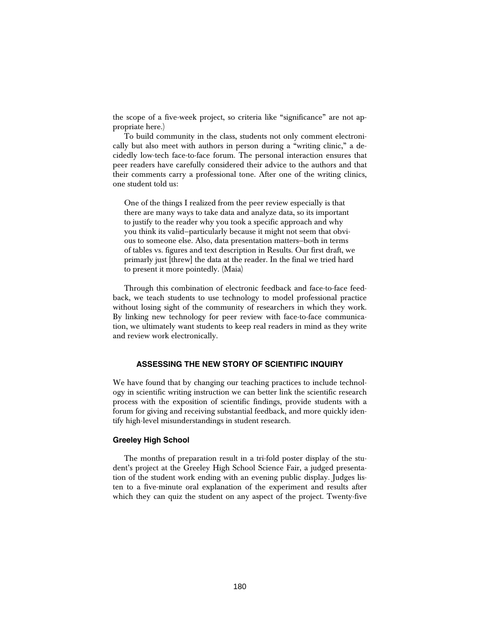the scope of a five-week project, so criteria like "significance" are not appropriate here.)

To build community in the class, students not only comment electronically but also meet with authors in person during a "writing clinic," a decidedly low-tech face-to-face forum. The personal interaction ensures that peer readers have carefully considered their advice to the authors and that their comments carry a professional tone. After one of the writing clinics, one student told us:

One of the things I realized from the peer review especially is that there are many ways to take data and analyze data, so its important to justify to the reader why you took a specific approach and why you think its valid—particularly because it might not seem that obvious to someone else. Also, data presentation matters—both in terms of tables vs. figures and text description in Results. Our first draft, we primarly just [threw] the data at the reader. In the final we tried hard to present it more pointedly. (Maia)

Through this combination of electronic feedback and face-to-face feedback, we teach students to use technology to model professional practice without losing sight of the community of researchers in which they work. By linking new technology for peer review with face-to-face communication, we ultimately want students to keep real readers in mind as they write and review work electronically.

# **ASSESSING THE NEW STORY OF SCIENTIFIC INQUIRY**

We have found that by changing our teaching practices to include technology in scientific writing instruction we can better link the scientific research process with the exposition of scientific findings, provide students with a forum for giving and receiving substantial feedback, and more quickly identify high-level misunderstandings in student research.

#### **Greeley High School**

The months of preparation result in a tri-fold poster display of the student's project at the Greeley High School Science Fair, a judged presentation of the student work ending with an evening public display. Judges listen to a five-minute oral explanation of the experiment and results after which they can quiz the student on any aspect of the project. Twenty-five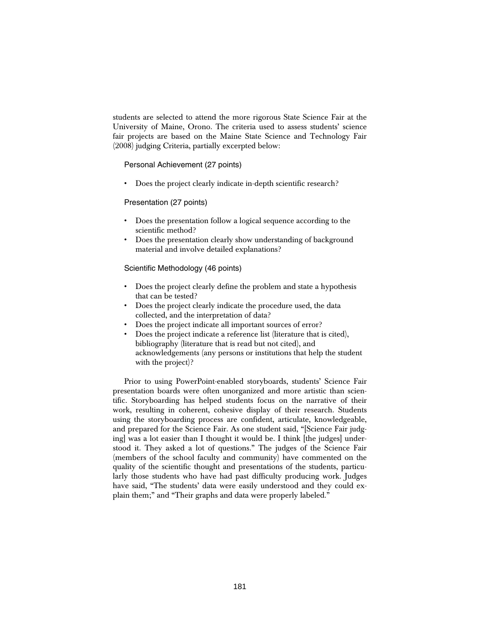students are selected to attend the more rigorous State Science Fair at the University of Maine, Orono. The criteria used to assess students' science fair projects are based on the Maine State Science and Technology Fair (2008) judging Criteria, partially excerpted below:

Personal Achievement (27 points)

• Does the project clearly indicate in-depth scientific research?

Presentation (27 points)

- Does the presentation follow a logical sequence according to the scientific method?
- Does the presentation clearly show understanding of background material and involve detailed explanations?

Scientific Methodology (46 points)

- Does the project clearly define the problem and state a hypothesis that can be tested?
- Does the project clearly indicate the procedure used, the data collected, and the interpretation of data?
- Does the project indicate all important sources of error?
- Does the project indicate a reference list (literature that is cited), bibliography (literature that is read but not cited), and acknowledgements (any persons or institutions that help the student with the project)?

Prior to using PowerPoint-enabled storyboards, students' Science Fair presentation boards were often unorganized and more artistic than scientific. Storyboarding has helped students focus on the narrative of their work, resulting in coherent, cohesive display of their research. Students using the storyboarding process are confident, articulate, knowledgeable, and prepared for the Science Fair. As one student said, "[Science Fair judging] was a lot easier than I thought it would be. I think [the judges] understood it. They asked a lot of questions." The judges of the Science Fair (members of the school faculty and community) have commented on the quality of the scientific thought and presentations of the students, particularly those students who have had past difficulty producing work. Judges have said, "The students' data were easily understood and they could explain them;" and "Their graphs and data were properly labeled."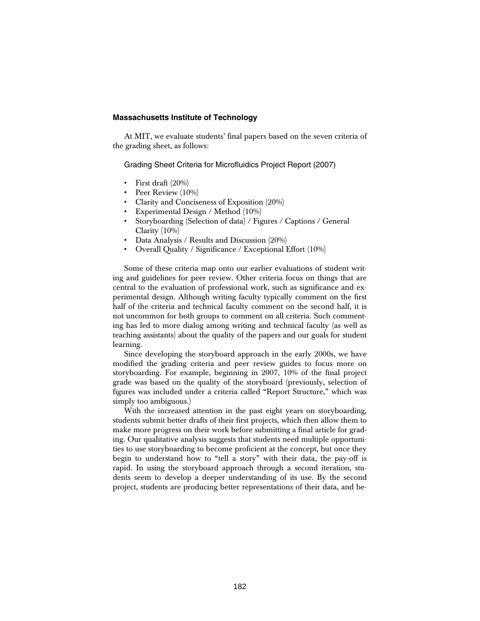#### **Massachusetts Institute of Technology**

At MIT, we evaluate students' final papers based on the seven criteria of the grading sheet, as follows:

Grading Sheet Criteria for Microfluidics Project Report (2007)

- First draft (20%)
- Peer Review (10%)
- Clarity and Conciseness of Exposition (20%)
- Experimental Design / Method (10%)
- Storyboarding (Selection of data) / Figures / Captions / General Clarity (10%)
- Data Analysis / Results and Discussion (20%)
- Overall Quality / Significance / Exceptional Effort (10%)

Some of these criteria map onto our earlier evaluations of student writing and guidelines for peer review. Other criteria focus on things that are central to the evaluation of professional work, such as significance and experimental design. Although writing faculty typically comment on the first half of the criteria and technical faculty comment on the second half, it is not uncommon for both groups to comment on all criteria. Such commenting has led to more dialog among writing and technical faculty (as well as teaching assistants) about the quality of the papers and our goals for student learning.

Since developing the storyboard approach in the early 2000s, we have modified the grading criteria and peer review guides to focus more on storyboarding. For example, beginning in 2007, 10% of the final project grade was based on the quality of the storyboard (previously, selection of figures was included under a criteria called "Report Structure," which was simply too ambiguous.)

With the increased attention in the past eight years on storyboarding, students submit better drafts of their first projects, which then allow them to make more progress on their work before submitting a final article for grading. Our qualitative analysis suggests that students need multiple opportunities to use storyboarding to become proficient at the concept, but once they begin to understand how to "tell a story" with their data, the pay-off is rapid. In using the storyboard approach through a second iteration, students seem to develop a deeper understanding of its use. By the second project, students are producing better representations of their data, and be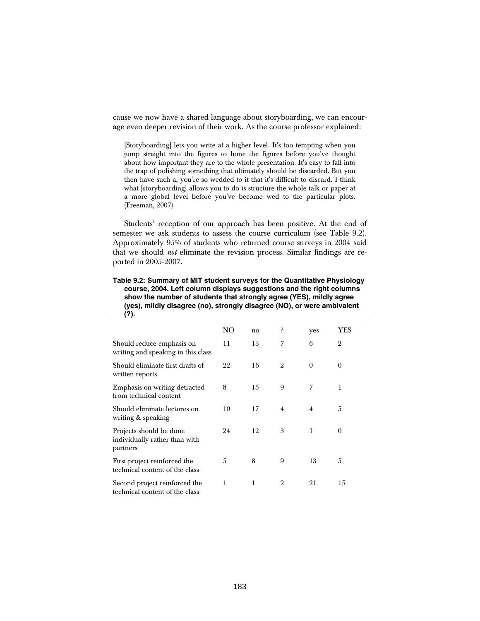cause we now have a shared language about storyboarding, we can encourage even deeper revision of their work. As the course professor explained:

[Storyboarding] lets you write at a higher level. It's too tempting when you jump straight into the figures to hone the figures before you've thought about how important they are to the whole presentation. It's easy to fall into the trap of polishing something that ultimately should be discarded. But you then have such a, you're so wedded to it that it's difficult to discard. I think what [storyboarding] allows you to do is structure the whole talk or paper at a more global level before you've become wed to the particular plots. (Freeman, 2007)

Students' reception of our approach has been positive. At the end of semester we ask students to assess the course curriculum (see Table 9.2). Approximately 95% of students who returned course surveys in 2004 said that we should *not* eliminate the revision process. Similar findings are reported in 2005-2007.

**Table 9.2: Summary of MIT student surveys for the Quantitative Physiology course, 2004. Left column displays suggestions and the right columns show the number of students that strongly agree (YES), mildly agree (yes), mildly disagree (no), strongly disagree (NO), or were ambivalent (?).** 

|                                                                      | NO | no | ŗ              | yes            | YES            |
|----------------------------------------------------------------------|----|----|----------------|----------------|----------------|
| Should reduce emphasis on<br>writing and speaking in this class      | 11 | 13 | 7              | 6              | $\overline{2}$ |
| Should eliminate first drafts of<br>written reports                  | 22 | 16 | $\overline{2}$ | $\theta$       | $\theta$       |
| Emphasis on writing detracted<br>from technical content              | 8  | 15 | 9              | 7              | 1              |
| Should eliminate lectures on<br>writing & speaking                   | 10 | 17 | $\overline{4}$ | $\overline{4}$ | 5              |
| Projects should be done<br>individually rather than with<br>partners | 24 | 12 | 3              | 1              | $\theta$       |
| First project reinforced the<br>technical content of the class       | 5  | 8  | 9              | 13             | 5              |
| Second project reinforced the<br>technical content of the class      | 1  | 1  | $\overline{2}$ | 21             | 15             |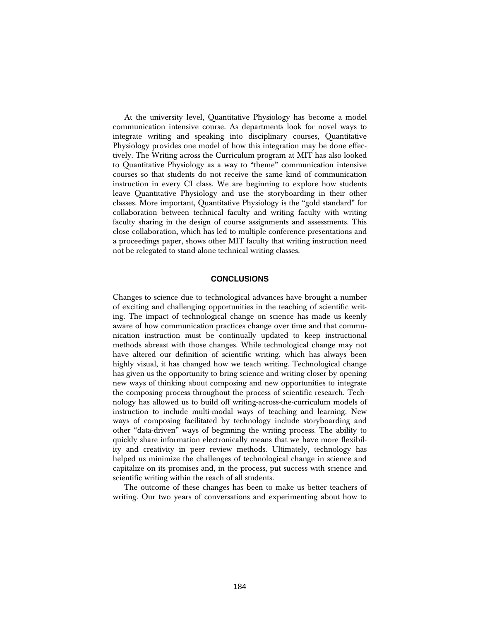At the university level, Quantitative Physiology has become a model communication intensive course. As departments look for novel ways to integrate writing and speaking into disciplinary courses, Quantitative Physiology provides one model of how this integration may be done effectively. The Writing across the Curriculum program at MIT has also looked to Quantitative Physiology as a way to "theme" communication intensive courses so that students do not receive the same kind of communication instruction in every CI class. We are beginning to explore how students leave Quantitative Physiology and use the storyboarding in their other classes. More important, Quantitative Physiology is the "gold standard" for collaboration between technical faculty and writing faculty with writing faculty sharing in the design of course assignments and assessments. This close collaboration, which has led to multiple conference presentations and a proceedings paper, shows other MIT faculty that writing instruction need not be relegated to stand-alone technical writing classes.

#### **CONCLUSIONS**

Changes to science due to technological advances have brought a number of exciting and challenging opportunities in the teaching of scientific writing. The impact of technological change on science has made us keenly aware of how communication practices change over time and that communication instruction must be continually updated to keep instructional methods abreast with those changes. While technological change may not have altered our definition of scientific writing, which has always been highly visual, it has changed how we teach writing. Technological change has given us the opportunity to bring science and writing closer by opening new ways of thinking about composing and new opportunities to integrate the composing process throughout the process of scientific research. Technology has allowed us to build off writing-across-the-curriculum models of instruction to include multi-modal ways of teaching and learning. New ways of composing facilitated by technology include storyboarding and other "data-driven" ways of beginning the writing process. The ability to quickly share information electronically means that we have more flexibility and creativity in peer review methods. Ultimately, technology has helped us minimize the challenges of technological change in science and capitalize on its promises and, in the process, put success with science and scientific writing within the reach of all students.

The outcome of these changes has been to make us better teachers of writing. Our two years of conversations and experimenting about how to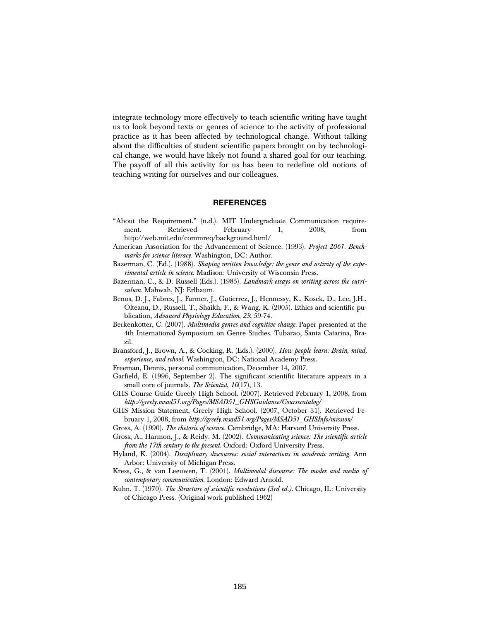integrate technology more effectively to teach scientific writing have taught us to look beyond texts or genres of science to the activity of professional practice as it has been affected by technological change. Without talking about the difficulties of student scientific papers brought on by technological change, we would have likely not found a shared goal for our teaching. The payoff of all this activity for us has been to redefine old notions of teaching writing for ourselves and our colleagues.

# **REFERENCES**

- "About the Requirement." (n.d.). MIT Undergraduate Communication requirement. Retrieved February 1, 2008, from http://web.mit.edu/commreq/background.html/
- American Association for the Advancement of Science. (1993). *Project 2061. Benchmarks for science literacy.* Washington, DC: Author.
- Bazerman, C. (Ed.). (1988). *Shaping written knowledge: the genre and activity of the experimental article in science*. Madison: University of Wisconsin Press.
- Bazerman, C., & D. Russell (Eds.). (1985). *Landmark essays on writing across the curriculum.* Mahwah, NJ: Erlbaum.
- Benos, D. J., Fabres, J., Farmer, J., Gutierrez, J., Hennessy, K., Kosek, D., Lee, J.H., Olteanu, D., Russell, T., Shaikh, F., & Wang, K. (2005). Ethics and scientific publication, *Advanced Physiology Education*, *29*, 59-74.
- Berkenkotter, C. (2007). *Multimedia genres and cognitive change.* Paper presented at the 4th International Symposium on Genre Studies. Tubarao, Santa Catarina, Brazil.
- Bransford, J., Brown, A., & Cocking, R. (Eds.). (2000). *How people learn: Brain, mind, experience, and school*. Washington, DC: National Academy Press.
- Freeman, Dennis, personal communication, December 14, 2007.
- Garfield, E. (1996, September 2). The significant scientific literature appears in a small core of journals. *The Scientist*, *10*(17), 13.
- GHS Course Guide Greely High School. (2007). Retrieved February 1, 2008, from *http://greely.msad51.org/Pages/MSAD51\_GHSGuidance/Coursecatalog/*
- GHS Mission Statement, Greely High School. (2007, October 31). Retrieved February 1, 2008, from *http://greely.msad51.org/Pages/MSAD51\_GHSInfo/mission*/
- Gross, A. (1990). *The rhetoric of science.* Cambridge, MA: Harvard University Press.
- Gross, A., Harmon, J., & Reidy. M. (2002). *Communicating science: The scientific article from the 17th century to the present.* Oxford: Oxford University Press.
- Hyland, K. (2004). *Disciplinary discourses: social interactions in academic writing.* Ann Arbor: University of Michigan Press.
- Kress, G., & van Leeuwen, T. (2001). *Multimodal discourse: The modes and media of contemporary communication*. London: Edward Arnold.
- Kuhn, T. (1970). *The Structure of scientific revolutions (3rd ed.).* Chicago, IL: University of Chicago Press. (Original work published 1962)